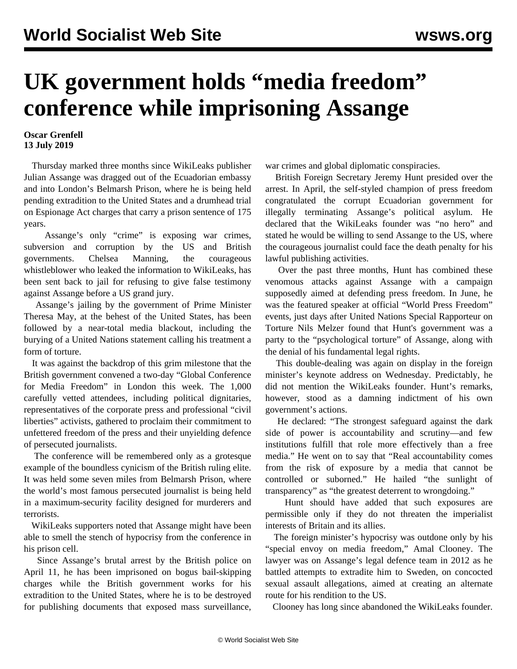## **UK government holds "media freedom" conference while imprisoning Assange**

## **Oscar Grenfell 13 July 2019**

 Thursday marked three months since WikiLeaks publisher Julian Assange was dragged out of the Ecuadorian embassy and into London's Belmarsh Prison, where he is being held pending extradition to the United States and a drumhead trial on Espionage Act charges that carry a prison sentence of 175 years.

 Assange's only "crime" is exposing war crimes, subversion and corruption by the US and British governments. Chelsea Manning, the courageous whistleblower who leaked the information to WikiLeaks, has been sent back to jail for refusing to give false testimony against Assange before a US grand jury.

 Assange's jailing by the government of Prime Minister Theresa May, at the behest of the United States, has been followed by a near-total media blackout, including the burying of a United Nations statement calling his treatment a form of torture.

 It was against the backdrop of this grim milestone that the British government convened a two-day "Global Conference for Media Freedom" in London this week. The 1,000 carefully vetted attendees, including political dignitaries, representatives of the corporate press and professional "civil liberties" activists, gathered to proclaim their commitment to unfettered freedom of the press and their unyielding defence of persecuted journalists.

 The conference will be remembered only as a grotesque example of the boundless cynicism of the British ruling elite. It was held some seven miles from Belmarsh Prison, where the world's most famous persecuted journalist is being held in a maximum-security facility designed for murderers and terrorists.

 WikiLeaks supporters noted that Assange might have been able to smell the stench of hypocrisy from the conference in his prison cell.

 Since Assange's brutal arrest by the British police on April 11, he has been imprisoned on bogus bail-skipping charges while the British government works for his extradition to the United States, where he is to be destroyed for publishing documents that exposed mass surveillance, war crimes and global diplomatic conspiracies.

 British Foreign Secretary Jeremy Hunt presided over the arrest. In April, the self-styled champion of press freedom congratulated the corrupt Ecuadorian government for illegally terminating Assange's political asylum. He declared that the WikiLeaks founder was "no hero" and stated he would be willing to send Assange to the US, where the courageous journalist could face the death penalty for his lawful publishing activities.

 Over the past three months, Hunt has combined these venomous attacks against Assange with a campaign supposedly aimed at defending press freedom. In June, he was the featured speaker at official "World Press Freedom" events, just days after United Nations Special Rapporteur on Torture Nils Melzer found that Hunt's government was a party to the "psychological torture" of Assange, along with the denial of his fundamental legal rights.

 This double-dealing was again on display in the foreign minister's keynote address on Wednesday. Predictably, he did not mention the WikiLeaks founder. Hunt's remarks, however, stood as a damning indictment of his own government's actions.

 He declared: "The strongest safeguard against the dark side of power is accountability and scrutiny—and few institutions fulfill that role more effectively than a free media." He went on to say that "Real accountability comes from the risk of exposure by a media that cannot be controlled or suborned." He hailed "the sunlight of transparency" as "the greatest deterrent to wrongdoing."

 Hunt should have added that such exposures are permissible only if they do not threaten the imperialist interests of Britain and its allies.

 The foreign minister's hypocrisy was outdone only by his "special envoy on media freedom," Amal Clooney. The lawyer was on Assange's legal defence team in 2012 as he battled attempts to extradite him to Sweden, on concocted sexual assault allegations, aimed at creating an alternate route for his rendition to the US.

Clooney has long since abandoned the WikiLeaks founder.